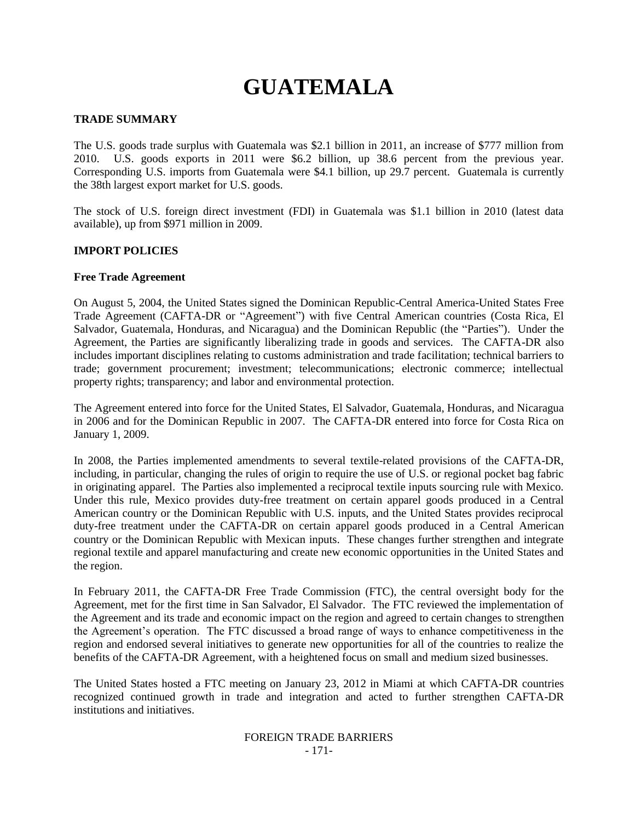# **GUATEMALA**

## **TRADE SUMMARY**

The U.S. goods trade surplus with Guatemala was \$2.1 billion in 2011, an increase of \$777 million from 2010. U.S. goods exports in 2011 were \$6.2 billion, up 38.6 percent from the previous year. Corresponding U.S. imports from Guatemala were \$4.1 billion, up 29.7 percent. Guatemala is currently the 38th largest export market for U.S. goods.

The stock of U.S. foreign direct investment (FDI) in Guatemala was \$1.1 billion in 2010 (latest data available), up from \$971 million in 2009.

#### **IMPORT POLICIES**

#### **Free Trade Agreement**

On August 5, 2004, the United States signed the Dominican Republic-Central America-United States Free Trade Agreement (CAFTA-DR or "Agreement") with five Central American countries (Costa Rica, El Salvador, Guatemala, Honduras, and Nicaragua) and the Dominican Republic (the "Parties"). Under the Agreement, the Parties are significantly liberalizing trade in goods and services. The CAFTA-DR also includes important disciplines relating to customs administration and trade facilitation; technical barriers to trade; government procurement; investment; telecommunications; electronic commerce; intellectual property rights; transparency; and labor and environmental protection.

The Agreement entered into force for the United States, El Salvador, Guatemala, Honduras, and Nicaragua in 2006 and for the Dominican Republic in 2007. The CAFTA-DR entered into force for Costa Rica on January 1, 2009.

In 2008, the Parties implemented amendments to several textile-related provisions of the CAFTA-DR, including, in particular, changing the rules of origin to require the use of U.S. or regional pocket bag fabric in originating apparel. The Parties also implemented a reciprocal textile inputs sourcing rule with Mexico. Under this rule, Mexico provides duty-free treatment on certain apparel goods produced in a Central American country or the Dominican Republic with U.S. inputs, and the United States provides reciprocal duty-free treatment under the CAFTA-DR on certain apparel goods produced in a Central American country or the Dominican Republic with Mexican inputs. These changes further strengthen and integrate regional textile and apparel manufacturing and create new economic opportunities in the United States and the region.

In February 2011, the CAFTA-DR Free Trade Commission (FTC), the central oversight body for the Agreement, met for the first time in San Salvador, El Salvador. The FTC reviewed the implementation of the Agreement and its trade and economic impact on the region and agreed to certain changes to strengthen the Agreement"s operation. The FTC discussed a broad range of ways to enhance competitiveness in the region and endorsed several initiatives to generate new opportunities for all of the countries to realize the benefits of the CAFTA-DR Agreement, with a heightened focus on small and medium sized businesses.

The United States hosted a FTC meeting on January 23, 2012 in Miami at which CAFTA-DR countries recognized continued growth in trade and integration and acted to further strengthen CAFTA-DR institutions and initiatives.

#### FOREIGN TRADE BARRIERS - 171-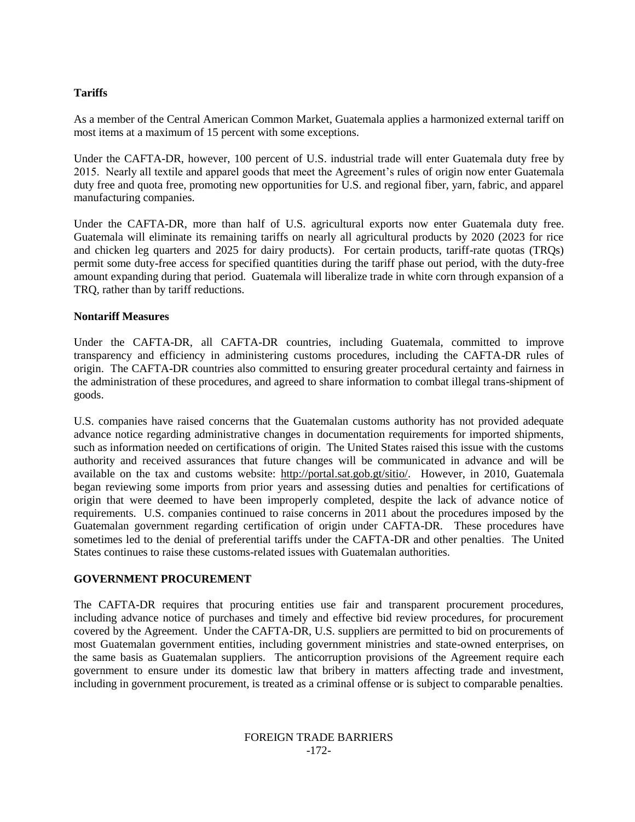### **Tariffs**

As a member of the Central American Common Market, Guatemala applies a harmonized external tariff on most items at a maximum of 15 percent with some exceptions.

Under the CAFTA-DR, however, 100 percent of U.S. industrial trade will enter Guatemala duty free by 2015. Nearly all textile and apparel goods that meet the Agreement's rules of origin now enter Guatemala duty free and quota free, promoting new opportunities for U.S. and regional fiber, yarn, fabric, and apparel manufacturing companies.

Under the CAFTA-DR, more than half of U.S. agricultural exports now enter Guatemala duty free. Guatemala will eliminate its remaining tariffs on nearly all agricultural products by 2020 (2023 for rice and chicken leg quarters and 2025 for dairy products). For certain products, tariff-rate quotas (TRQs) permit some duty-free access for specified quantities during the tariff phase out period, with the duty-free amount expanding during that period. Guatemala will liberalize trade in white corn through expansion of a TRQ, rather than by tariff reductions.

#### **Nontariff Measures**

Under the CAFTA-DR, all CAFTA-DR countries, including Guatemala, committed to improve transparency and efficiency in administering customs procedures, including the CAFTA-DR rules of origin. The CAFTA-DR countries also committed to ensuring greater procedural certainty and fairness in the administration of these procedures, and agreed to share information to combat illegal trans-shipment of goods.

U.S. companies have raised concerns that the Guatemalan customs authority has not provided adequate advance notice regarding administrative changes in documentation requirements for imported shipments, such as information needed on certifications of origin. The United States raised this issue with the customs authority and received assurances that future changes will be communicated in advance and will be available on the tax and customs website: [http://portal.sat.gob.gt/sitio/.](http://portal.sat.gob.gt/sitio/) However, in 2010, Guatemala began reviewing some imports from prior years and assessing duties and penalties for certifications of origin that were deemed to have been improperly completed, despite the lack of advance notice of requirements. U.S. companies continued to raise concerns in 2011 about the procedures imposed by the Guatemalan government regarding certification of origin under CAFTA-DR. These procedures have sometimes led to the denial of preferential tariffs under the CAFTA-DR and other penalties. The United States continues to raise these customs-related issues with Guatemalan authorities.

#### **GOVERNMENT PROCUREMENT**

The CAFTA-DR requires that procuring entities use fair and transparent procurement procedures, including advance notice of purchases and timely and effective bid review procedures, for procurement covered by the Agreement. Under the CAFTA-DR, U.S. suppliers are permitted to bid on procurements of most Guatemalan government entities, including government ministries and state-owned enterprises, on the same basis as Guatemalan suppliers. The anticorruption provisions of the Agreement require each government to ensure under its domestic law that bribery in matters affecting trade and investment, including in government procurement, is treated as a criminal offense or is subject to comparable penalties.

#### FOREIGN TRADE BARRIERS -172-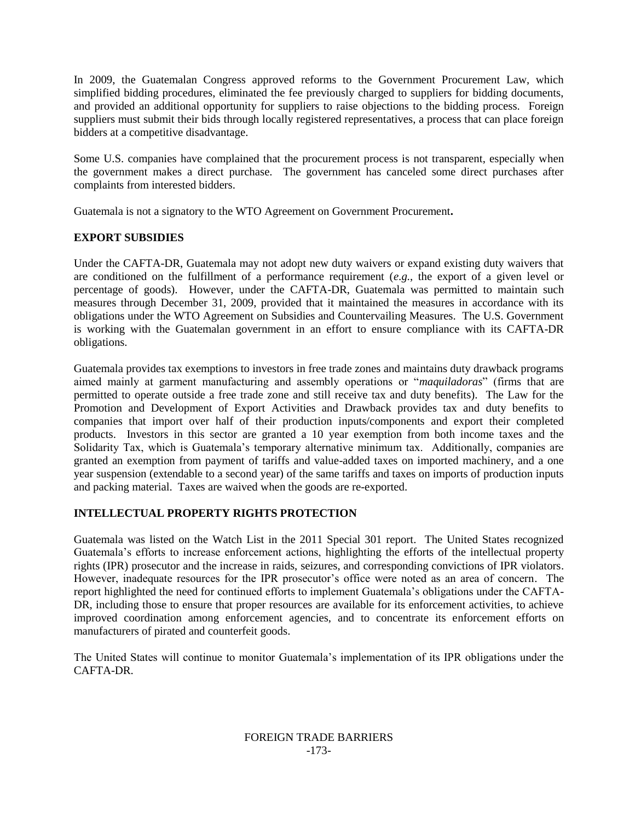In 2009, the Guatemalan Congress approved reforms to the Government Procurement Law, which simplified bidding procedures, eliminated the fee previously charged to suppliers for bidding documents, and provided an additional opportunity for suppliers to raise objections to the bidding process. Foreign suppliers must submit their bids through locally registered representatives, a process that can place foreign bidders at a competitive disadvantage.

Some U.S. companies have complained that the procurement process is not transparent, especially when the government makes a direct purchase. The government has canceled some direct purchases after complaints from interested bidders.

Guatemala is not a signatory to the WTO Agreement on Government Procurement**.**

## **EXPORT SUBSIDIES**

Under the CAFTA-DR, Guatemala may not adopt new duty waivers or expand existing duty waivers that are conditioned on the fulfillment of a performance requirement (*e.g.*, the export of a given level or percentage of goods). However, under the CAFTA-DR, Guatemala was permitted to maintain such measures through December 31, 2009, provided that it maintained the measures in accordance with its obligations under the WTO Agreement on Subsidies and Countervailing Measures. The U.S. Government is working with the Guatemalan government in an effort to ensure compliance with its CAFTA-DR obligations.

Guatemala provides tax exemptions to investors in free trade zones and maintains duty drawback programs aimed mainly at garment manufacturing and assembly operations or "*maquiladoras*" (firms that are permitted to operate outside a free trade zone and still receive tax and duty benefits). The Law for the Promotion and Development of Export Activities and Drawback provides tax and duty benefits to companies that import over half of their production inputs/components and export their completed products. Investors in this sector are granted a 10 year exemption from both income taxes and the Solidarity Tax, which is Guatemala's temporary alternative minimum tax. Additionally, companies are granted an exemption from payment of tariffs and value-added taxes on imported machinery, and a one year suspension (extendable to a second year) of the same tariffs and taxes on imports of production inputs and packing material. Taxes are waived when the goods are re-exported.

## **INTELLECTUAL PROPERTY RIGHTS PROTECTION**

Guatemala was listed on the Watch List in the 2011 Special 301 report. The United States recognized Guatemala"s efforts to increase enforcement actions, highlighting the efforts of the intellectual property rights (IPR) prosecutor and the increase in raids, seizures, and corresponding convictions of IPR violators. However, inadequate resources for the IPR prosecutor's office were noted as an area of concern. The report highlighted the need for continued efforts to implement Guatemala"s obligations under the CAFTA-DR, including those to ensure that proper resources are available for its enforcement activities, to achieve improved coordination among enforcement agencies, and to concentrate its enforcement efforts on manufacturers of pirated and counterfeit goods.

The United States will continue to monitor Guatemala"s implementation of its IPR obligations under the CAFTA-DR.